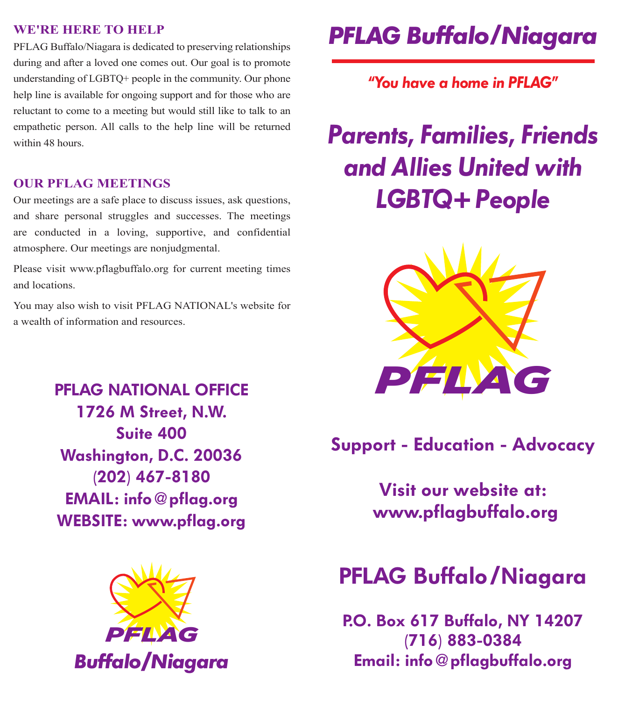#### **WE'RE HERE TO HELP**

PFLAG Buffalo/Niagara is dedicated to preserving relationships during and after a loved one comes out. Our goal is to promote understanding of LGBTQ+ people in the community. Our phone help line is available for ongoing support and for those who are reluctant to come to a meeting but would still like to talk to an empathetic person. All calls to the help line will be returned within 48 hours.

### **OUR PFLAG MEETINGS**

Our meetings are a safe place to discuss issues, ask questions, and share personal struggles and successes. The meetings are conducted in a loving, supportive, and confidential atmosphere. Our meetings are nonjudgmental.

Please visit www.pflagbuffalo.org for current meeting times and locations.

You may also wish to visit PFLAG NATIONAL's website for a wealth of information and resources.

> **PFLAG NATIONAL OFFICE 1726 M Street, N.W. Suite 400 Washington, D.C. 20036 (202) 467-8180 EMAIL: info@pflag.org WEBSITE: www.pflag.org**



## *PFLAG Buffalo Niagara*

*"You have a home in PFLAG"*

# *Parents, Families, Friends and Allies United with LGBTQ+ People*



### **Support - Education - Advocacy**

**Visit our website at: www.pflagbuffalo.org**

### **PFLAG Buffalo Niagara**

**P.O. Box 617 Buffalo, NY 14207 (716) 883-0384 Email: info@pflagbuffalo.org**